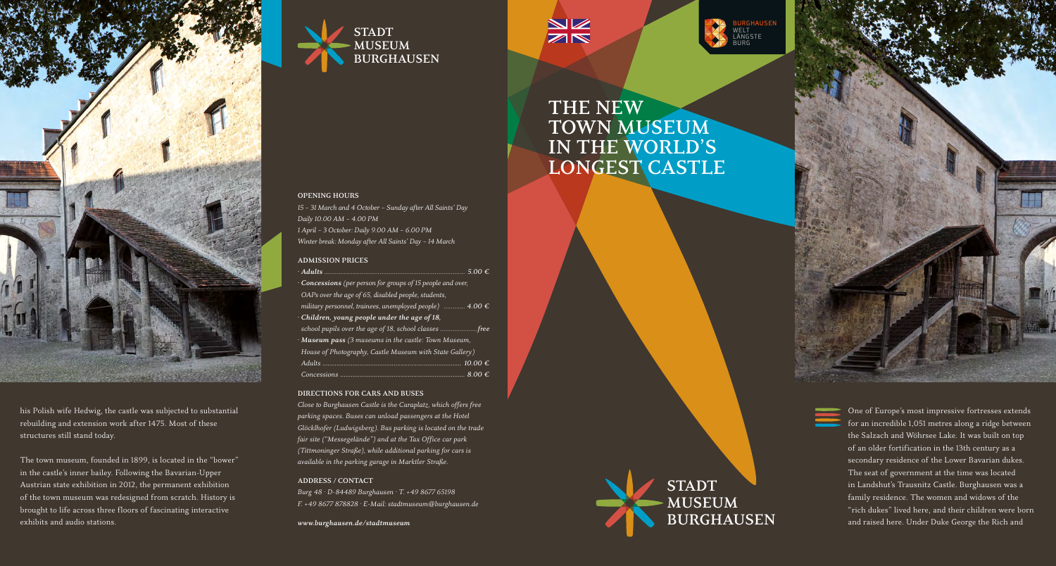

his Polish wife Hedwig, the castle was subjected to substantial rebuilding and extension work after 1475. Most of these structures still stand today.

The town museum, founded in 1899, is located in the "bower" in the castle's inner bailey. Following the Bavarian-Upper Austrian state exhibition in 2012, the permanent exhibition of the town museum was redesigned from scratch. History is brought to life across three floors of fascinating interactive exhibits and audio stations.



*15 – 31 March and 4 October – Sunday after All Saints' Day*

*· Adults ............................................................................... 5.00 € · Concessions (per person for groups of 15 people and over, OAPs over the age of 65, disabled people, students,* 

*military personnel, trainees, unemployed people) ............ 4.00 €*

*school pupils over the age of 18, school classes .....................free · Museum pass (3 museums in the castle: Town Museum, House of Photography, Castle Museum with State Gallery) Adults .............................................................................. 10.00 € Concessions ...................................................................... 8.00 €*

*Close to Burghausen Castle is the Curaplatz, which offers free parking spaces. Buses can unload passengers at the Hotel Glöcklhofer (Ludwigsberg). Bus parking is located on the trade fair site ("Messegelände") and at the Tax Office car park (Tittmoninger Straße), while additional parking for cars is available in the parking garage in Marktler Straße.*

*Burg 48 · D-84489 Burghausen · T. +49 8677 65198 F. +49 8677 878828 · s-Mail: stadtmuseum@burghausen.de*

*1 April – 3 October: Daily 9.00 AM – 6.00 PM Winter break: Monday after All Saints' Day – 14 March*

*· Children, young people under the age of 18,*

**DIRsCTIONS FOR CARS AND BUSsS**

**ADDRsSS / CONTACT**

*www.burghausen.de/stadtmuseum*

**OPsNING HOURS**

*Daily 10.00 AM – 4.00 PM*

**ADMISSION PRICES** 

 $\frac{N}{N}$ 



**THE NEW**  $TOWN$  **MUSEUM IN THs WORLD'S LONGEST CASTLE** 

## **STADT**  $MUSEUM$ **BURGHAUSEN**



One of Europe's most impressive fortresses extends for an incredible 1,051 metres along a ridge between the Salzach and Wöhrsee Lake. It was built on top of an older fortification in the 13th century as a secondary residence of the Lower Bavarian dukes. The seat of government at the time was located in Landshut's Trausnitz Castle. Burghausen was a family residence. The women and widows of the "rich dukes" lived here, and their children were born and raised here. Under Duke George the Rich and